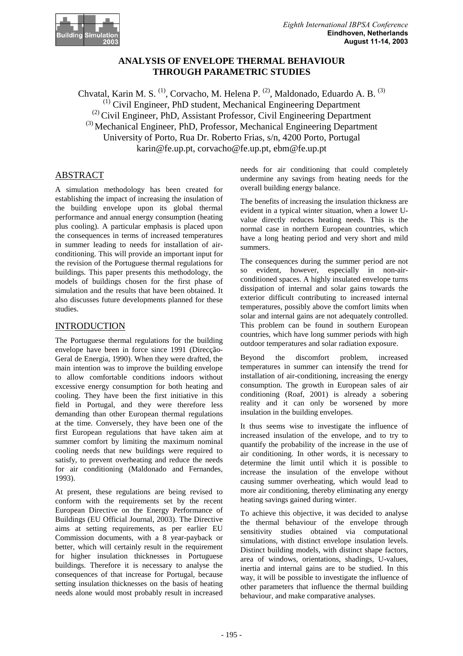

# **ANALYSIS OF ENVELOPE THERMAL BEHAVIOUR THROUGH PARAMETRIC STUDIES**

Chvatal, Karin M. S.<sup>(1)</sup>, Corvacho, M. Helena P.<sup>(2)</sup>, Maldonado, Eduardo A. B.<sup>(3)</sup>  $<sup>(1)</sup>$  Civil Engineer, PhD student, Mechanical Engineering Department</sup> (2) Civil Engineer, PhD, Assistant Professor, Civil Engineering Department (3) Mechanical Engineer, PhD, Professor, Mechanical Engineering Department University of Porto, Rua Dr. Roberto Frias, s/n, 4200 Porto, Portugal karin@fe.up.pt, corvacho@fe.up.pt, ebm@fe.up.pt

# ABSTRACT

A simulation methodology has been created for establishing the impact of increasing the insulation of the building envelope upon its global thermal performance and annual energy consumption (heating plus cooling). A particular emphasis is placed upon the consequences in terms of increased temperatures in summer leading to needs for installation of airconditioning. This will provide an important input for the revision of the Portuguese thermal regulations for buildings. This paper presents this methodology, the models of buildings chosen for the first phase of simulation and the results that have been obtained. It also discusses future developments planned for these studies.

# INTRODUCTION

The Portuguese thermal regulations for the building envelope have been in force since 1991 (Direcção-Geral de Energia, 1990). When they were drafted, the main intention was to improve the building envelope to allow comfortable conditions indoors without excessive energy consumption for both heating and cooling. They have been the first initiative in this field in Portugal, and they were therefore less demanding than other European thermal regulations at the time. Conversely, they have been one of the first European regulations that have taken aim at summer comfort by limiting the maximum nominal cooling needs that new buildings were required to satisfy, to prevent overheating and reduce the needs for air conditioning (Maldonado and Fernandes, 1993).

At present, these regulations are being revised to conform with the requirements set by the recent European Directive on the Energy Performance of Buildings (EU Official Journal, 2003). The Directive aims at setting requirements, as per earlier EU Commission documents, with a 8 year-payback or better, which will certainly result in the requirement for higher insulation thicknesses in Portuguese buildings. Therefore it is necessary to analyse the consequences of that increase for Portugal, because setting insulation thicknesses on the basis of heating needs alone would most probably result in increased

needs for air conditioning that could completely undermine any savings from heating needs for the overall building energy balance.

The benefits of increasing the insulation thickness are evident in a typical winter situation, when a lower Uvalue directly reduces heating needs. This is the normal case in northern European countries, which have a long heating period and very short and mild summers.

The consequences during the summer period are not so evident, however, especially in non-airconditioned spaces. A highly insulated envelope turns dissipation of internal and solar gains towards the exterior difficult contributing to increased internal temperatures, possibly above the comfort limits when solar and internal gains are not adequately controlled. This problem can be found in southern European countries, which have long summer periods with high outdoor temperatures and solar radiation exposure.

Beyond the discomfort problem, increased temperatures in summer can intensify the trend for installation of air-conditioning, increasing the energy consumption. The growth in European sales of air conditioning (Roaf, 2001) is already a sobering reality and it can only be worsened by more insulation in the building envelopes.

It thus seems wise to investigate the influence of increased insulation of the envelope, and to try to quantify the probability of the increase in the use of air conditioning. In other words, it is necessary to determine the limit until which it is possible to increase the insulation of the envelope without causing summer overheating, which would lead to more air conditioning, thereby eliminating any energy heating savings gained during winter.

To achieve this objective, it was decided to analyse the thermal behaviour of the envelope through sensitivity studies obtained via computational simulations, with distinct envelope insulation levels. Distinct building models, with distinct shape factors, area of windows, orientations, shadings, U-values, inertia and internal gains are to be studied. In this way, it will be possible to investigate the influence of other parameters that influence the thermal building behaviour, and make comparative analyses.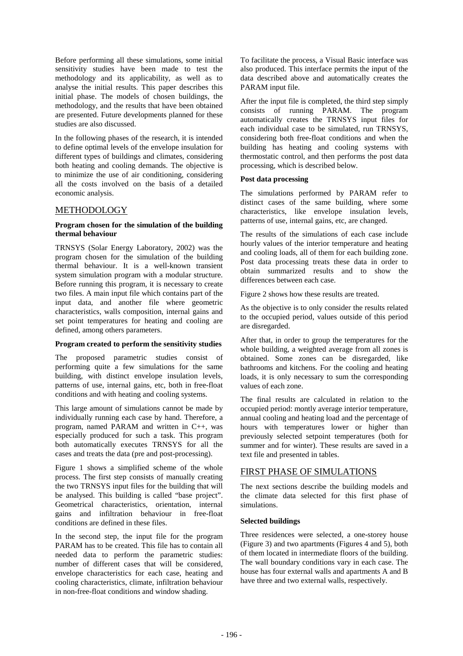Before performing all these simulations, some initial sensitivity studies have been made to test the methodology and its applicability, as well as to analyse the initial results. This paper describes this initial phase. The models of chosen buildings, the methodology, and the results that have been obtained are presented. Future developments planned for these studies are also discussed.

In the following phases of the research, it is intended to define optimal levels of the envelope insulation for different types of buildings and climates, considering both heating and cooling demands. The objective is to minimize the use of air conditioning, considering all the costs involved on the basis of a detailed economic analysis.

### **METHODOLOGY**

#### **Program chosen for the simulation of the building thermal behaviour**

TRNSYS (Solar Energy Laboratory, 2002) was the program chosen for the simulation of the building thermal behaviour. It is a well-known transient system simulation program with a modular structure. Before running this program, it is necessary to create two files. A main input file which contains part of the input data, and another file where geometric characteristics, walls composition, internal gains and set point temperatures for heating and cooling are defined, among others parameters.

### **Program created to perform the sensitivity studies**

The proposed parametric studies consist of performing quite a few simulations for the same building, with distinct envelope insulation levels, patterns of use, internal gains, etc, both in free-float conditions and with heating and cooling systems.

This large amount of simulations cannot be made by individually running each case by hand. Therefore, a program, named PARAM and written in C++, was especially produced for such a task. This program both automatically executes TRNSYS for all the cases and treats the data (pre and post-processing).

Figure 1 shows a simplified scheme of the whole process. The first step consists of manually creating the two TRNSYS input files for the building that will be analysed. This building is called "base project". Geometrical characteristics, orientation, internal gains and infiltration behaviour in free-float conditions are defined in these files.

In the second step, the input file for the program PARAM has to be created. This file has to contain all needed data to perform the parametric studies: number of different cases that will be considered, envelope characteristics for each case, heating and cooling characteristics, climate, infiltration behaviour in non-free-float conditions and window shading.

To facilitate the process, a Visual Basic interface was also produced. This interface permits the input of the data described above and automatically creates the PARAM input file.

After the input file is completed, the third step simply consists of running PARAM. The program automatically creates the TRNSYS input files for each individual case to be simulated, run TRNSYS, considering both free-float conditions and when the building has heating and cooling systems with thermostatic control, and then performs the post data processing, which is described below.

#### **Post data processing**

The simulations performed by PARAM refer to distinct cases of the same building, where some characteristics, like envelope insulation levels, patterns of use, internal gains, etc, are changed.

The results of the simulations of each case include hourly values of the interior temperature and heating and cooling loads, all of them for each building zone. Post data processing treats these data in order to obtain summarized results and to show the differences between each case.

Figure 2 shows how these results are treated.

As the objective is to only consider the results related to the occupied period, values outside of this period are disregarded.

After that, in order to group the temperatures for the whole building, a weighted average from all zones is obtained. Some zones can be disregarded, like bathrooms and kitchens. For the cooling and heating loads, it is only necessary to sum the corresponding values of each zone.

The final results are calculated in relation to the occupied period: montly average interior temperature, annual cooling and heating load and the percentage of hours with temperatures lower or higher than previously selected setpoint temperatures (both for summer and for winter). These results are saved in a text file and presented in tables.

### FIRST PHASE OF SIMULATIONS

The next sections describe the building models and the climate data selected for this first phase of simulations.

### **Selected buildings**

Three residences were selected, a one-storey house (Figure 3) and two apartments (Figures 4 and 5), both of them located in intermediate floors of the building. The wall boundary conditions vary in each case. The house has four external walls and apartments A and B have three and two external walls, respectively.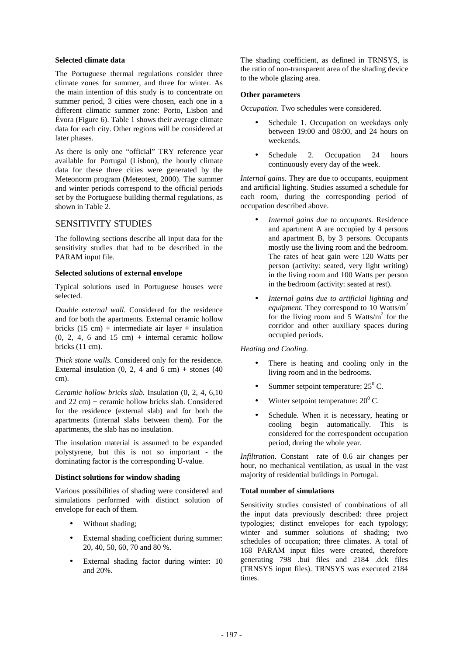#### **Selected climate data**

The Portuguese thermal regulations consider three climate zones for summer, and three for winter. As the main intention of this study is to concentrate on summer period, 3 cities were chosen, each one in a different climatic summer zone: Porto, Lisbon and Évora (Figure 6). Table 1 shows their average climate data for each city. Other regions will be considered at later phases.

As there is only one "official" TRY reference year available for Portugal (Lisbon), the hourly climate data for these three cities were generated by the Meteonorm program (Meteotest, 2000). The summer and winter periods correspond to the official periods set by the Portuguese building thermal regulations, as shown in Table 2.

### SENSITIVITY STUDIES

The following sections describe all input data for the sensitivity studies that had to be described in the PARAM input file.

### **Selected solutions of external envelope**

Typical solutions used in Portuguese houses were selected.

*Double external wall*. Considered for the residence and for both the apartments. External ceramic hollow bricks  $(15 \text{ cm})$  + intermediate air layer + insulation  $(0, 2, 4, 6$  and  $15$  cm) + internal ceramic hollow bricks (11 cm).

*Thick stone walls.* Considered only for the residence. External insulation  $(0, 2, 4$  and  $6$  cm) + stones  $(40)$ cm).

*Ceramic hollow bricks slab.* Insulation (0, 2, 4, 6,10 and 22 cm) + ceramic hollow bricks slab. Considered for the residence (external slab) and for both the apartments (internal slabs between them). For the apartments, the slab has no insulation.

The insulation material is assumed to be expanded polystyrene, but this is not so important - the dominating factor is the corresponding U-value.

### **Distinct solutions for window shading**

Various possibilities of shading were considered and simulations performed with distinct solution of envelope for each of them.

- Without shading;
- External shading coefficient during summer: 20, 40, 50, 60, 70 and 80 %.
- External shading factor during winter: 10 and 20%.

The shading coefficient, as defined in TRNSYS, is the ratio of non-transparent area of the shading device to the whole glazing area.

### **Other parameters**

*Occupation*. Two schedules were considered.

- Schedule 1. Occupation on weekdays only between 19:00 and 08:00, and 24 hours on weekends.
- Schedule 2. Occupation 24 hours continuously every day of the week.

*Internal gains.* They are due to occupants, equipment and artificial lighting. Studies assumed a schedule for each room, during the corresponding period of occupation described above.

- *Internal gains due to occupants.* Residence and apartment A are occupied by 4 persons and apartment B, by 3 persons. Occupants mostly use the living room and the bedroom. The rates of heat gain were 120 Watts per person (activity: seated, very light writing) in the living room and 100 Watts per person in the bedroom (activity: seated at rest).
- *Internal gains due to artificial lighting and equipment.* They correspond to 10 Watts/m<sup>2</sup> for the living room and  $5 \text{ Watts/m}^2$  for the corridor and other auxiliary spaces during occupied periods.

### *Heating and Cooling.*

- There is heating and cooling only in the living room and in the bedrooms.
- Summer setpoint temperature:  $25^{\circ}$  C.
- Winter setpoint temperature:  $20^{\circ}$  C.
- Schedule. When it is necessary, heating or cooling begin automatically. This is considered for the correspondent occupation period, during the whole year.

*Infiltration*. Constant rate of 0.6 air changes per hour, no mechanical ventilation, as usual in the vast majority of residential buildings in Portugal.

### **Total number of simulations**

Sensitivity studies consisted of combinations of all the input data previously described: three project typologies; distinct envelopes for each typology; winter and summer solutions of shading; two schedules of occupation; three climates. A total of 168 PARAM input files were created, therefore generating 798 .bui files and 2184 .dck files (TRNSYS input files). TRNSYS was executed 2184 times.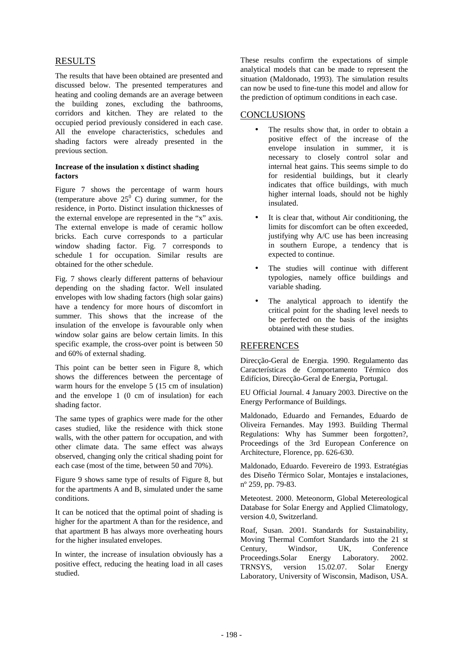## RESULTS

The results that have been obtained are presented and discussed below. The presented temperatures and heating and cooling demands are an average between the building zones, excluding the bathrooms, corridors and kitchen. They are related to the occupied period previously considered in each case. All the envelope characteristics, schedules and shading factors were already presented in the previous section.

### **Increase of the insulation x distinct shading factors**

Figure 7 shows the percentage of warm hours (temperature above  $25^{\circ}$  C) during summer, for the residence, in Porto. Distinct insulation thicknesses of the external envelope are represented in the "x" axis. The external envelope is made of ceramic hollow bricks. Each curve corresponds to a particular window shading factor. Fig. 7 corresponds to schedule 1 for occupation. Similar results are obtained for the other schedule.

Fig. 7 shows clearly different patterns of behaviour depending on the shading factor. Well insulated envelopes with low shading factors (high solar gains) have a tendency for more hours of discomfort in summer. This shows that the increase of the insulation of the envelope is favourable only when window solar gains are below certain limits. In this specific example, the cross-over point is between 50 and 60% of external shading.

This point can be better seen in Figure 8, which shows the differences between the percentage of warm hours for the envelope 5 (15 cm of insulation) and the envelope 1 (0 cm of insulation) for each shading factor.

The same types of graphics were made for the other cases studied, like the residence with thick stone walls, with the other pattern for occupation, and with other climate data. The same effect was always observed, changing only the critical shading point for each case (most of the time, between 50 and 70%).

Figure 9 shows same type of results of Figure 8, but for the apartments A and B, simulated under the same conditions.

It can be noticed that the optimal point of shading is higher for the apartment A than for the residence, and that apartment B has always more overheating hours for the higher insulated envelopes.

In winter, the increase of insulation obviously has a positive effect, reducing the heating load in all cases studied.

These results confirm the expectations of simple analytical models that can be made to represent the situation (Maldonado, 1993). The simulation results can now be used to fine-tune this model and allow for the prediction of optimum conditions in each case.

# **CONCLUSIONS**

- The results show that, in order to obtain a positive effect of the increase of the envelope insulation in summer, it is necessary to closely control solar and internal heat gains. This seems simple to do for residential buildings, but it clearly indicates that office buildings, with much higher internal loads, should not be highly insulated.
- It is clear that, without Air conditioning, the limits for discomfort can be often exceeded, justifying why A/C use has been increasing in southern Europe, a tendency that is expected to continue.
- The studies will continue with different typologies, namely office buildings and variable shading.
- The analytical approach to identify the critical point for the shading level needs to be perfected on the basis of the insights obtained with these studies.

### **REFERENCES**

Direcção-Geral de Energia. 1990. Regulamento das Características de Comportamento Térmico dos Edifícios, Direcção-Geral de Energia, Portugal.

EU Official Journal. 4 January 2003. Directive on the Energy Performance of Buildings.

Maldonado, Eduardo and Fernandes, Eduardo de Oliveira Fernandes. May 1993. Building Thermal Regulations: Why has Summer been forgotten?, Proceedings of the 3rd European Conference on Architecture, Florence, pp. 626-630.

Maldonado, Eduardo. Fevereiro de 1993. Estratégias des Diseño Térmico Solar, Montajes e instalaciones, nº 259, pp. 79-83.

Meteotest. 2000. Meteonorm, Global Metereological Database for Solar Energy and Applied Climatology, version 4.0, Switzerland.

Roaf, Susan. 2001. Standards for Sustainability, Moving Thermal Comfort Standards into the 21 st Century, Windsor, UK, Conference Proceedings.Solar Energy Laboratory. 2002.<br>TRNSYS, version 15.02.07. Solar Energy TRNSYS, version  $15.02.07$ . Laboratory, University of Wisconsin, Madison, USA.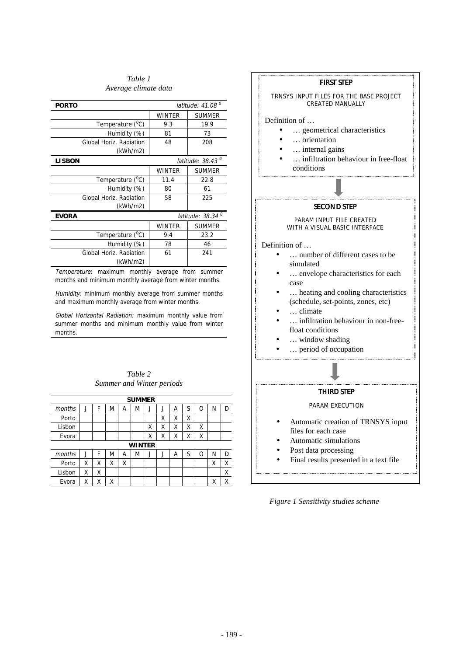*Table 1 Average climate data* 

| latitude: $41.08o$ |               |  |  |  |
|--------------------|---------------|--|--|--|
| <b>WINTER</b>      | <b>SUMMER</b> |  |  |  |
| 9.3                | 19.9          |  |  |  |
| 81                 | 73            |  |  |  |
| 48                 | 208           |  |  |  |
|                    |               |  |  |  |
| latitude: $38.43o$ |               |  |  |  |
| <b>WINTER</b>      | <b>SUMMER</b> |  |  |  |
| 11.4               | 22.8          |  |  |  |
| 80                 | 61            |  |  |  |
| 58                 | 225           |  |  |  |
|                    |               |  |  |  |
| latitude: $38.34o$ |               |  |  |  |
| <b>WINTER</b>      | <b>SUMMER</b> |  |  |  |
| 9.4                | 23.2          |  |  |  |
| 78                 | 46            |  |  |  |
| 61                 | 241           |  |  |  |
|                    |               |  |  |  |
|                    |               |  |  |  |

Temperature: maximum monthly average from summer months and minimum monthly average from winter months.

Humidity: minimum monthly average from summer months and maximum monthly average from winter months.

Global Horizontal Radiation: maximum monthly value from summer months and minimum monthly value from winter months.

| Table 2 |                           |  |  |  |  |  |  |
|---------|---------------------------|--|--|--|--|--|--|
|         | Summer and Winter periods |  |  |  |  |  |  |

| <b>SUMMER</b> |         |   |   |   |   |   |   |   |   |   |   |   |
|---------------|---------|---|---|---|---|---|---|---|---|---|---|---|
| months        |         | F | M | Α | M | J | J | А | S | Ο | Ν | D |
| Porto         |         |   |   |   |   |   | Χ | Χ | Χ |   |   |   |
| Lisbon        |         |   |   |   |   | Χ | Χ | Χ | Χ | Χ |   |   |
| Evora         |         |   |   |   |   | Χ | Χ | Χ | Χ | Χ |   |   |
| WINTER        |         |   |   |   |   |   |   |   |   |   |   |   |
| months        | $\cdot$ | F | M | Α | M | J | J | Α | S | Ω | Ν | D |
| Porto         | Χ       | Χ | Χ | Χ |   |   |   |   |   |   | Χ | Χ |
| Lisbon        | Χ       | Χ |   |   |   |   |   |   |   |   |   | Χ |
| Evora         | Χ       | Χ | Χ |   |   |   |   |   |   |   | Χ | Χ |



- Post data processing
- Final results presented in a text file

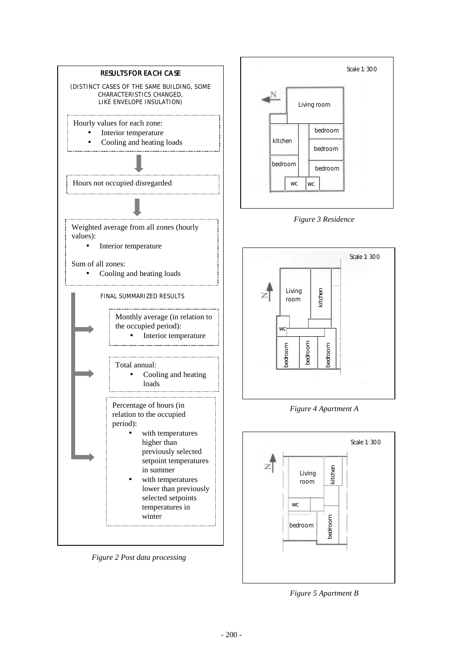

*Figure 2 Post data processing* 



*Figure 3 Residence* 



*Figure 4 Apartment A* 



*Figure 5 Apartment B*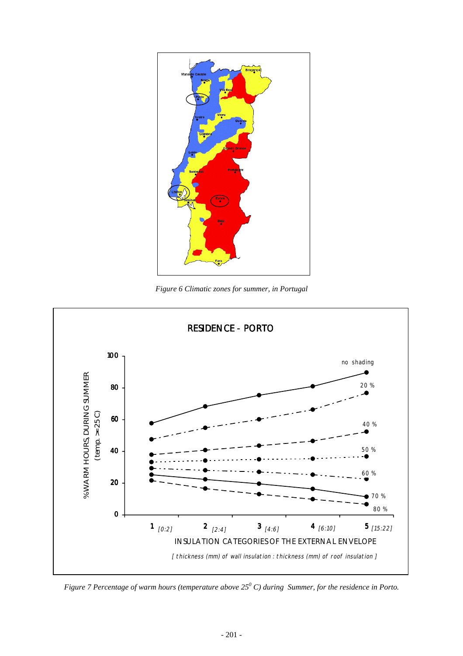

*Figure 6 Climatic zones for summer, in Portugal* 



*Figure 7 Percentage of warm hours (temperature above 25<sup>0</sup> C) during Summer, for the residence in Porto.*